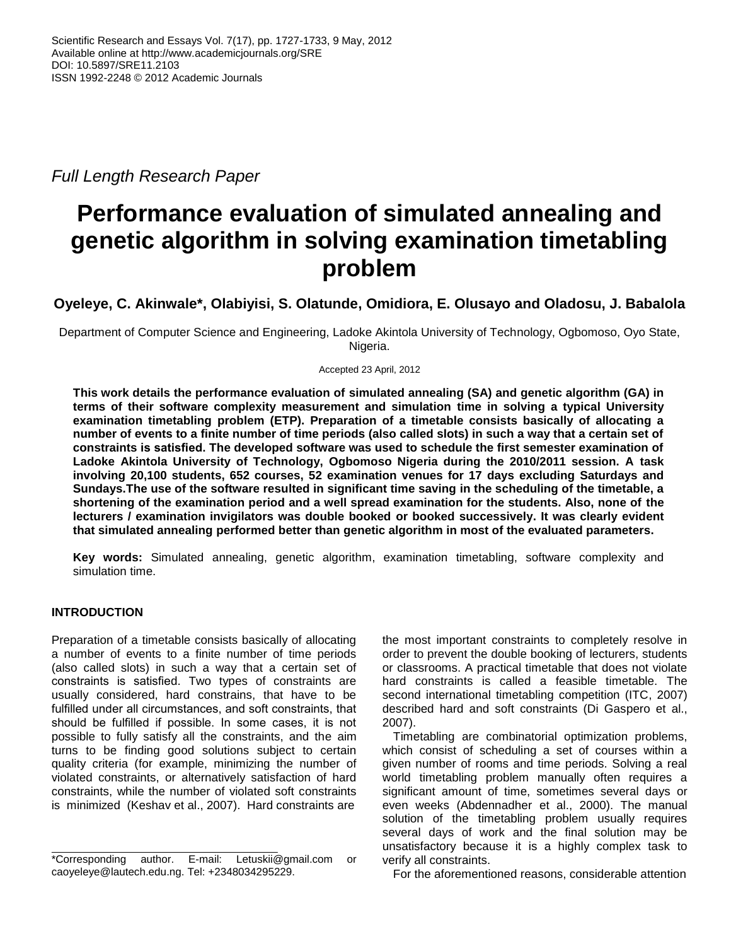*Full Length Research Paper*

# **Performance evaluation of simulated annealing and genetic algorithm in solving examination timetabling problem**

**Oyeleye, C. Akinwale\*, Olabiyisi, S. Olatunde, Omidiora, E. Olusayo and Oladosu, J. Babalola**

Department of Computer Science and Engineering, Ladoke Akintola University of Technology, Ogbomoso, Oyo State, Nigeria.

Accepted 23 April, 2012

**This work details the performance evaluation of simulated annealing (SA) and genetic algorithm (GA) in terms of their software complexity measurement and simulation time in solving a typical University examination timetabling problem (ETP). Preparation of a timetable consists basically of allocating a number of events to a finite number of time periods (also called slots) in such a way that a certain set of constraints is satisfied. The developed software was used to schedule the first semester examination of Ladoke Akintola University of Technology, Ogbomoso Nigeria during the 2010/2011 session. A task involving 20,100 students, 652 courses, 52 examination venues for 17 days excluding Saturdays and Sundays.The use of the software resulted in significant time saving in the scheduling of the timetable, a shortening of the examination period and a well spread examination for the students. Also, none of the lecturers / examination invigilators was double booked or booked successively. It was clearly evident that simulated annealing performed better than genetic algorithm in most of the evaluated parameters.**

**Key words:** Simulated annealing, genetic algorithm, examination timetabling, software complexity and simulation time.

# **INTRODUCTION**

Preparation of a timetable consists basically of allocating a number of events to a finite number of time periods (also called slots) in such a way that a certain set of constraints is satisfied. Two types of constraints are usually considered, hard constrains, that have to be fulfilled under all circumstances, and soft constraints, that should be fulfilled if possible. In some cases, it is not possible to fully satisfy all the constraints, and the aim turns to be finding good solutions subject to certain quality criteria (for example, minimizing the number of violated constraints, or alternatively satisfaction of hard constraints, while the number of violated soft constraints is minimized (Keshav et al., 2007). Hard constraints are

the most important constraints to completely resolve in order to prevent the double booking of lecturers, students or classrooms. A practical timetable that does not violate hard constraints is called a feasible timetable. The second international timetabling competition (ITC, 2007) described hard and soft constraints (Di Gaspero et al., 2007).

Timetabling are combinatorial optimization problems, which consist of scheduling a set of courses within a given number of rooms and time periods. Solving a real world timetabling problem manually often requires a significant amount of time, sometimes several days or even weeks (Abdennadher et al., 2000). The manual solution of the timetabling problem usually requires several days of work and the final solution may be unsatisfactory because it is a highly complex task to verify all constraints.

For the aforementioned reasons, considerable attention

<sup>\*</sup>Corresponding author. E-mail: Letuskii@gmail.com or [caoyeleye@la](mailto:Letuskii@gmail.com)utech.edu.ng. Tel: +2348034295229.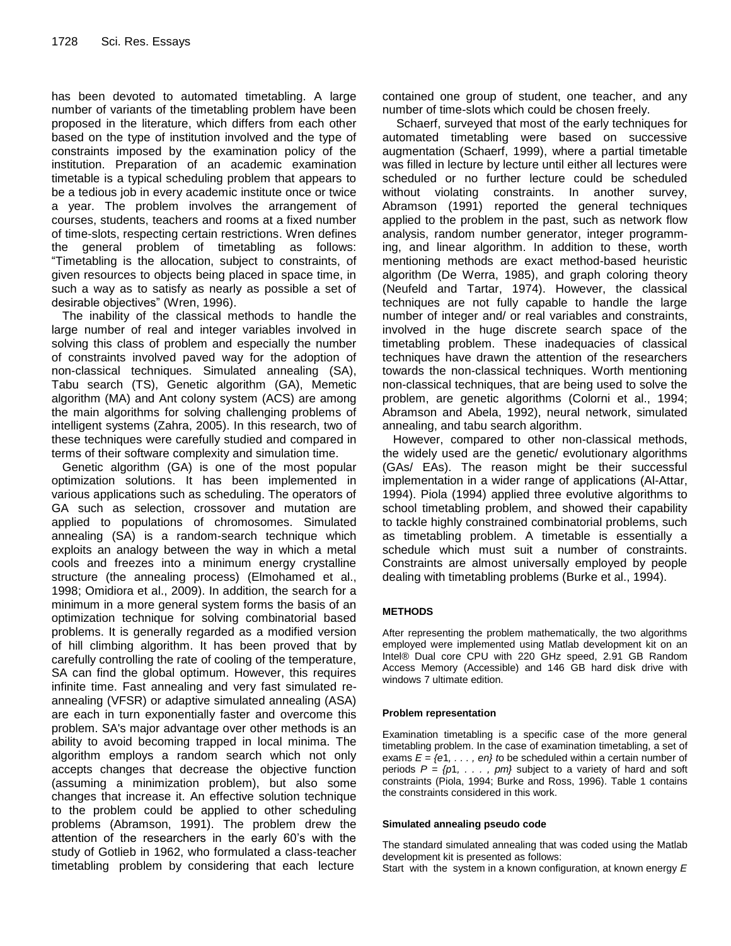has been devoted to automated timetabling. A large number of variants of the timetabling problem have been proposed in the literature, which differs from each other based on the type of institution involved and the type of constraints imposed by the examination policy of the institution. Preparation of an academic examination timetable is a typical scheduling problem that appears to be a tedious job in every academic institute once or twice a year. The problem involves the arrangement of courses, students, teachers and rooms at a fixed number of time-slots, respecting certain restrictions. Wren defines the general problem of timetabling as follows: "Timetabling is the allocation, subject to constraints, of given resources to objects being placed in space time, in such a way as to satisfy as nearly as possible a set of desirable objectives" (Wren, 1996).

The inability of the classical methods to handle the large number of real and integer variables involved in solving this class of problem and especially the number of constraints involved paved way for the adoption of non-classical techniques. Simulated annealing (SA), Tabu search (TS), Genetic algorithm (GA), Memetic algorithm (MA) and Ant colony system (ACS) are among the main algorithms for solving challenging problems of intelligent systems (Zahra, 2005). In this research, two of these techniques were carefully studied and compared in terms of their software complexity and simulation time.

Genetic algorithm (GA) is one of the most popular optimization solutions. It has been implemented in various applications such as scheduling. The operators of GA such as selection, crossover and mutation are applied to populations of chromosomes. Simulated annealing (SA) is a random-search technique which exploits an analogy between the way in which a metal cools and freezes into a minimum energy crystalline structure (the annealing process) (Elmohamed et al., 1998; Omidiora et al., 2009). In addition, the search for a minimum in a more general system forms the basis of an optimization technique for solving combinatorial based problems. It is generally regarded as a modified version of hill climbing algorithm. It has been proved that by carefully controlling the rate of cooling of the temperature, SA can find the global optimum. However, this requires infinite time. Fast annealing and very fast simulated reannealing (VFSR) or adaptive simulated annealing (ASA) are each in turn exponentially faster and overcome this problem. SA's major advantage over other methods is an ability to avoid becoming trapped in local minima. The algorithm employs a random search which not only accepts changes that decrease the objective function (assuming a minimization problem), but also some changes that increase it. An effective solution technique to the problem could be applied to other scheduling problems (Abramson, 1991). The problem drew the attention of the researchers in the early 60's with the study of Gotlieb in 1962, who formulated a class-teacher timetabling problem by considering that each lecture

contained one group of student, one teacher, and any number of time-slots which could be chosen freely.

Schaerf, surveyed that most of the early techniques for automated timetabling were based on successive augmentation (Schaerf, 1999), where a partial timetable was filled in lecture by lecture until either all lectures were scheduled or no further lecture could be scheduled without violating constraints. In another survey, Abramson (1991) reported the general techniques applied to the problem in the past, such as network flow analysis, random number generator, integer programming, and linear algorithm. In addition to these, worth mentioning methods are exact method-based heuristic algorithm (De Werra, 1985), and graph coloring theory (Neufeld and Tartar, 1974). However, the classical techniques are not fully capable to handle the large number of integer and/ or real variables and constraints, involved in the huge discrete search space of the timetabling problem. These inadequacies of classical techniques have drawn the attention of the researchers towards the non-classical techniques. Worth mentioning non-classical techniques, that are being used to solve the problem, are genetic algorithms (Colorni et al., 1994; Abramson and Abela, 1992), neural network, simulated annealing, and tabu search algorithm.

However, compared to other non-classical methods, the widely used are the genetic/ evolutionary algorithms (GAs/ EAs). The reason might be their successful implementation in a wider range of applications (Al-Attar, 1994). Piola (1994) applied three evolutive algorithms to school timetabling problem, and showed their capability to tackle highly constrained combinatorial problems, such as timetabling problem. A timetable is essentially a schedule which must suit a number of constraints. Constraints are almost universally employed by people dealing with timetabling problems (Burke et al., 1994).

## **METHODS**

After representing the problem mathematically, the two algorithms employed were implemented using Matlab development kit on an Intel® Dual core CPU with 220 GHz speed, 2.91 GB Random Access Memory (Accessible) and 146 GB hard disk drive with windows 7 ultimate edition.

#### **Problem representation**

Examination timetabling is a specific case of the more general timetabling problem. In the case of examination timetabling, a set of exams *E* = *{e*1*, . . . , en} t*o be scheduled within a certain number of periods *P* = *{p*1*, . . . , pm}* subject to a variety of hard and soft constraints (Piola, 1994; Burke and Ross, 1996). Table 1 contains the constraints considered in this work.

#### **Simulated annealing pseudo code**

The standard simulated annealing that was coded using the Matlab development kit is presented as follows:

Start with the system in a known configuration, at known energy *E*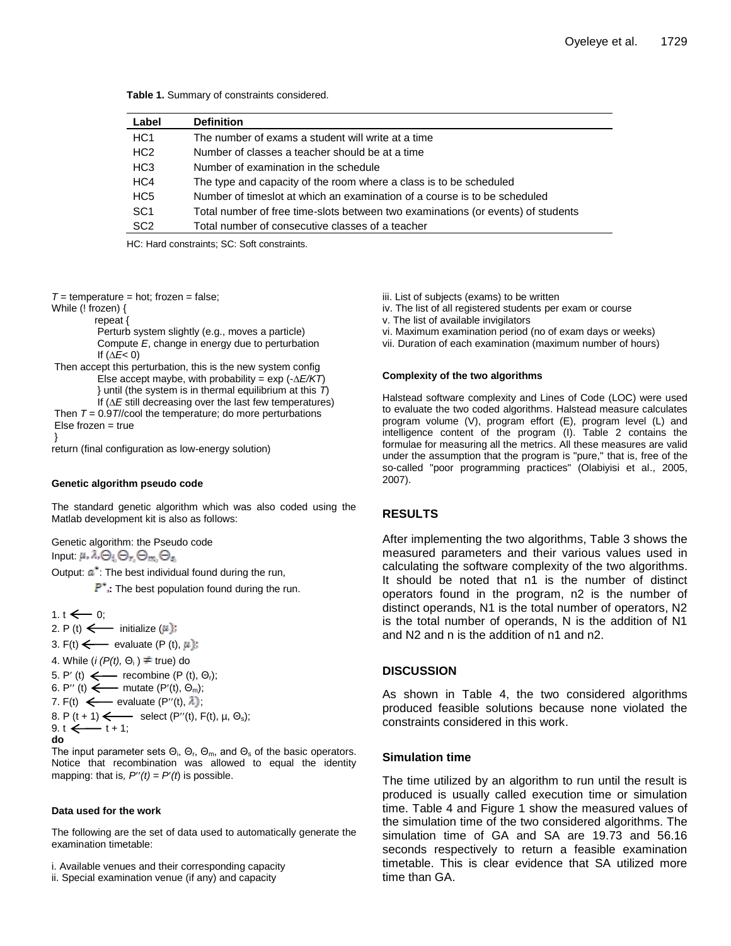| Label           | <b>Definition</b>                                                                |
|-----------------|----------------------------------------------------------------------------------|
| HC <sub>1</sub> | The number of exams a student will write at a time                               |
| HC <sub>2</sub> | Number of classes a teacher should be at a time                                  |
| HC <sub>3</sub> | Number of examination in the schedule                                            |
| HC4             | The type and capacity of the room where a class is to be scheduled               |
| HC <sub>5</sub> | Number of timeslot at which an examination of a course is to be scheduled        |
| SC <sub>1</sub> | Total number of free time-slots between two examinations (or events) of students |
| SC <sub>2</sub> | Total number of consecutive classes of a teacher                                 |

HC: Hard constraints; SC: Soft constraints.

 $T =$  temperature = hot; frozen = false;

While (! frozen) {

repeat {

Perturb system slightly (e.g., moves a particle) Compute *E*, change in energy due to perturbation If (*∆E*< 0)

Then accept this perturbation, this is the new system config Else accept maybe, with probability = exp (-*∆E/KT*) } until (the system is in thermal equilibrium at this *T*) If (*∆E* still decreasing over the last few temperatures) Then  $T = 0.9T$ //cool the temperature; do more perturbations

Else frozen = true

}

return (final configuration as low-energy solution)

#### **Genetic algorithm pseudo code**

The standard genetic algorithm which was also coded using the Matlab development kit is also as follows:

Genetic algorithm: the Pseudo code Input:  $\mu$ ,  $\lambda$ ,  $\bigoplus_i \bigoplus_r \bigoplus_m \bigoplus_s$ 

Output:  $a^*$ : The best individual found during the run,

**P**<sup>\*</sup>, The best population found during the run.

1. t  $\leftarrow$  0; 2. P (t)  $\longleftarrow$  initialize  $(\mu)$ : 3. F(t)  $\leftarrow$  evaluate (P (t),  $\mu$ ); 4. While  $(i (P(t), \Theta_i) \neq true)$  do 5. P' (t)  $\leftarrow$  recombine (P (t),  $\Theta_r$ ); 6. P'' (t)  $\longleftarrow$  mutate (P'(t),  $\Theta_m$ ); 7. F(t)  $\leftarrow$  evaluate (P''(t),  $\lambda$ ); 8. P  $(t + 1)$   $\longleftarrow$  select  $(P''(t), F(t), \mu, \Theta_s);$ 9. t  $\xi + 1$ ; **do**

The input parameter sets  $\Theta_i$ ,  $\Theta_r$ ,  $\Theta_m$ , and  $\Theta_s$  of the basic operators. Notice that recombination was allowed to equal the identity mapping: that is,  $P'(t) = P'(t)$  is possible.

#### **Data used for the work**

The following are the set of data used to automatically generate the examination timetable:

i. Available venues and their corresponding capacity

iii. List of subjects (exams) to be written

iv. The list of all registered students per exam or course

v. The list of available invigilators

vi. Maximum examination period (no of exam days or weeks)

vii. Duration of each examination (maximum number of hours)

#### **Complexity of the two algorithms**

Halstead software complexity and Lines of Code (LOC) were used to evaluate the two coded algorithms. Halstead measure calculates program volume (V), program effort (E), program level (L) and intelligence content of the program (I). Table 2 contains the formulae for measuring all the metrics. All these measures are valid under the assumption that the program is "pure," that is, free of the so-called "poor programming practices" (Olabiyisi et al., 2005, 2007).

#### **RESULTS**

After implementing the two algorithms, Table 3 shows the measured parameters and their various values used in calculating the software complexity of the two algorithms. It should be noted that n1 is the number of distinct operators found in the program, n2 is the number of distinct operands, N1 is the total number of operators, N2 is the total number of operands, N is the addition of N1 and N2 and n is the addition of n1 and n2.

## **DISCUSSION**

As shown in Table 4, the two considered algorithms produced feasible solutions because none violated the constraints considered in this work.

#### **Simulation time**

The time utilized by an algorithm to run until the result is produced is usually called execution time or simulation time. Table 4 and Figure 1 show the measured values of the simulation time of the two considered algorithms. The simulation time of GA and SA are 19.73 and 56.16 seconds respectively to return a feasible examination timetable. This is clear evidence that SA utilized more time than GA.

ii. Special examination venue (if any) and capacity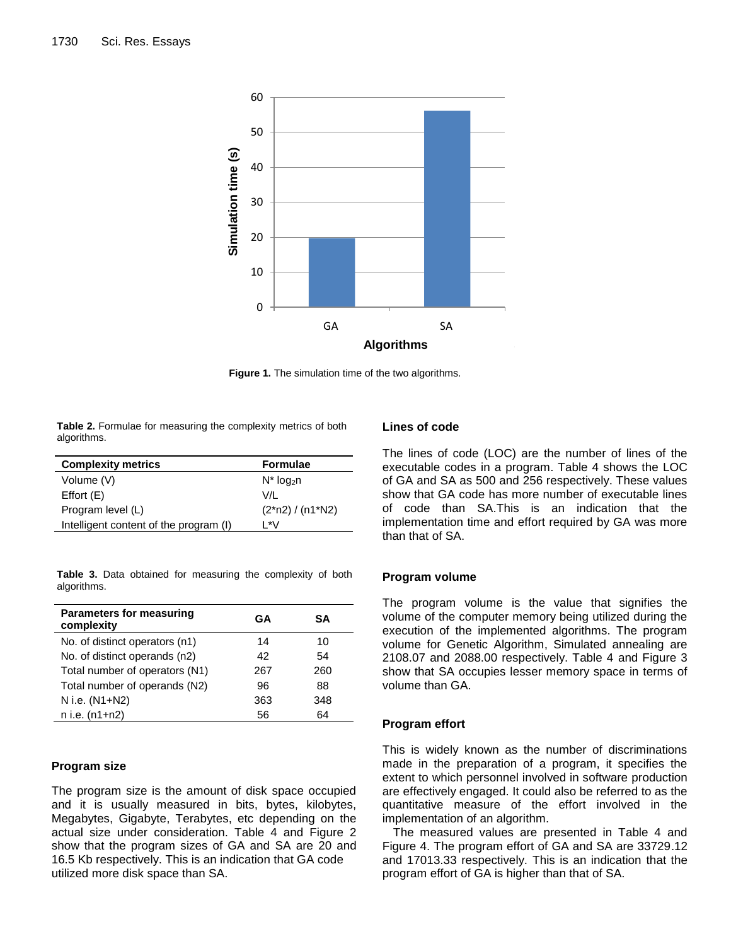

**Figure 1.** The simulation time of the two algorithms.

**Table 2.** Formulae for measuring the complexity metrics of both algorithms.

| <b>Complexity metrics</b>              | <b>Formulae</b>          |  |
|----------------------------------------|--------------------------|--|
| Volume (V)                             | $N^*$ log <sub>2</sub> n |  |
| Effort(E)                              | V/L                      |  |
| Program level (L)                      | $(2*n2) / (n1*N2)$       |  |
| Intelligent content of the program (I) | 1 *V                     |  |

**Table 3.** Data obtained for measuring the complexity of both algorithms.

| <b>Parameters for measuring</b><br>complexity | GА  | SΑ  |
|-----------------------------------------------|-----|-----|
| No. of distinct operators (n1)                | 14  | 10  |
| No. of distinct operands (n2)                 | 42  | 54  |
| Total number of operators (N1)                | 267 | 260 |
| Total number of operands (N2)                 | 96  | 88  |
| N i.e. (N1+N2)                                | 363 | 348 |
| n i.e. (n1+n2)                                | 56  | 64  |

## **Program size**

The program size is the amount of disk space occupied and it is usually measured in bits, bytes, kilobytes, Megabytes, Gigabyte, Terabytes, etc depending on the actual size under consideration. Table 4 and Figure 2 show that the program sizes of GA and SA are 20 and 16.5 Kb respectively. This is an indication that GA code utilized more disk space than SA.

## **Lines of code**

The lines of code (LOC) are the number of lines of the executable codes in a program. Table 4 shows the LOC of GA and SA as 500 and 256 respectively. These values show that GA code has more number of executable lines of code than SA.This is an indication that the implementation time and effort required by GA was more than that of SA.

#### **Program volume**

The program volume is the value that signifies the volume of the computer memory being utilized during the execution of the implemented algorithms. The program volume for Genetic Algorithm, Simulated annealing are 2108.07 and 2088.00 respectively. Table 4 and Figure 3 show that SA occupies lesser memory space in terms of volume than GA.

#### **Program effort**

This is widely known as the number of discriminations made in the preparation of a program, it specifies the extent to which personnel involved in software production are effectively engaged. It could also be referred to as the quantitative measure of the effort involved in the implementation of an algorithm.

The measured values are presented in Table 4 and Figure 4. The program effort of GA and SA are 33729.12 and 17013.33 respectively. This is an indication that the program effort of GA is higher than that of SA.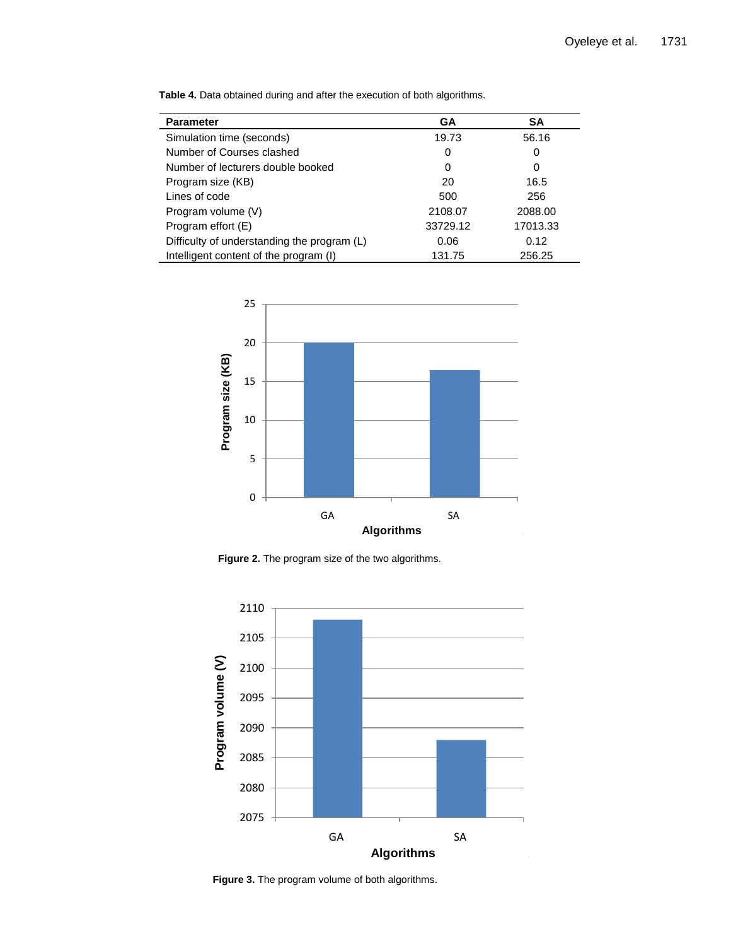| <b>Parameter</b>                            | GA       | <b>SA</b> |
|---------------------------------------------|----------|-----------|
| Simulation time (seconds)                   | 19.73    | 56.16     |
| Number of Courses clashed                   | 0        | 0         |
| Number of lecturers double booked           | 0        | 0         |
| Program size (KB)                           | 20       | 16.5      |
| Lines of code                               | 500      | 256       |
| Program volume (V)                          | 2108.07  | 2088.00   |
| Program effort (E)                          | 33729.12 | 17013.33  |
| Difficulty of understanding the program (L) | 0.06     | 0.12      |
| Intelligent content of the program (I)      | 131.75   | 256.25    |

**Table 4.** Data obtained during and after the execution of both algorithms.



Figure 2. The program size of the two algorithms.



**Figure 3.** The program volume of both algorithms.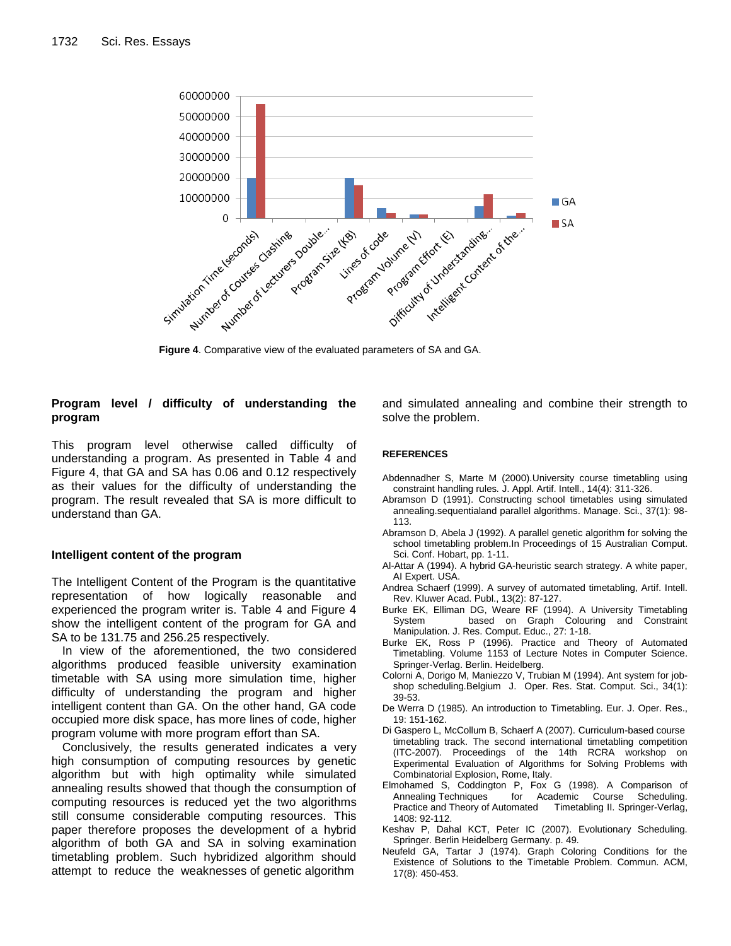

**Figure 4**. Comparative view of the evaluated parameters of SA and GA.

## **Program level / difficulty of understanding the program**

This program level otherwise called difficulty of understanding a program. As presented in Table 4 and Figure 4, that GA and SA has 0.06 and 0.12 respectively as their values for the difficulty of understanding the program. The result revealed that SA is more difficult to understand than GA.

# **Intelligent content of the program**

The Intelligent Content of the Program is the quantitative representation of how logically reasonable and experienced the program writer is. Table 4 and Figure 4 show the intelligent content of the program for GA and SA to be 131.75 and 256.25 respectively.

In view of the aforementioned, the two considered algorithms produced feasible university examination timetable with SA using more simulation time, higher difficulty of understanding the program and higher intelligent content than GA. On the other hand, GA code occupied more disk space, has more lines of code, higher program volume with more program effort than SA.

Conclusively, the results generated indicates a very high consumption of computing resources by genetic algorithm but with high optimality while simulated annealing results showed that though the consumption of computing resources is reduced yet the two algorithms still consume considerable computing resources. This paper therefore proposes the development of a hybrid algorithm of both GA and SA in solving examination timetabling problem. Such hybridized algorithm should attempt to reduce the weaknesses of genetic algorithm

and simulated annealing and combine their strength to solve the problem.

## **REFERENCES**

- Abdennadher S, Marte M (2000).University course timetabling using constraint handling rules*.* J. Appl. Artif. Intell., 14(4): 311-326.
- Abramson D (1991). Constructing school timetables using simulated annealing.sequentialand parallel algorithms. Manage. Sci., 37(1): 98- 113.
- Abramson D, Abela J (1992). A parallel genetic algorithm for solving the school timetabling problem.In Proceedings of 15 Australian Comput. Sci. Conf. Hobart, pp. 1-11.
- Al-Attar A (1994). A hybrid GA-heuristic search strategy. A white paper, AI Expert. USA.
- Andrea Schaerf (1999). A survey of automated timetabling, Artif. Intell. Rev. Kluwer Acad. Publ., 13(2): 87-127.
- Burke EK, Elliman DG, Weare RF (1994). A University Timetabling System based on Graph Colouring and Constraint Manipulation. J. Res. Comput. Educ., 27: 1-18.
- Burke EK, Ross P (1996). Practice and Theory of Automated Timetabling. Volume 1153 of Lecture Notes in Computer Science. Springer-Verlag. Berlin. Heidelberg.
- Colorni A, Dorigo M, Maniezzo V, Trubian M (1994). Ant system for jobshop scheduling.Belgium J. Oper. Res. Stat. Comput. Sci., 34(1): 39-53.
- De Werra D (1985). An introduction to Timetabling. Eur. J. Oper. Res., 19: 151-162.
- Di Gaspero L, McCollum B, Schaerf A (2007). Curriculum-based course timetabling track. The second international timetabling competition (ITC-2007). Proceedings of the 14th RCRA workshop on Experimental Evaluation of Algorithms for Solving Problems with Combinatorial Explosion, Rome, Italy.
- Elmohamed S, Coddington P, Fox G (1998). A Comparison of Annealing Techniques for Academic Course Scheduling. Practice and Theory of Automated Timetabling II. Springer-Verlag, 1408: 92-112.
- Keshav P, Dahal KCT, Peter IC (2007). Evolutionary Scheduling. Springer. Berlin Heidelberg Germany. p. 49.
- Neufeld GA, Tartar J (1974). Graph Coloring Conditions for the Existence of Solutions to the Timetable Problem. Commun. ACM, 17(8): 450-453.